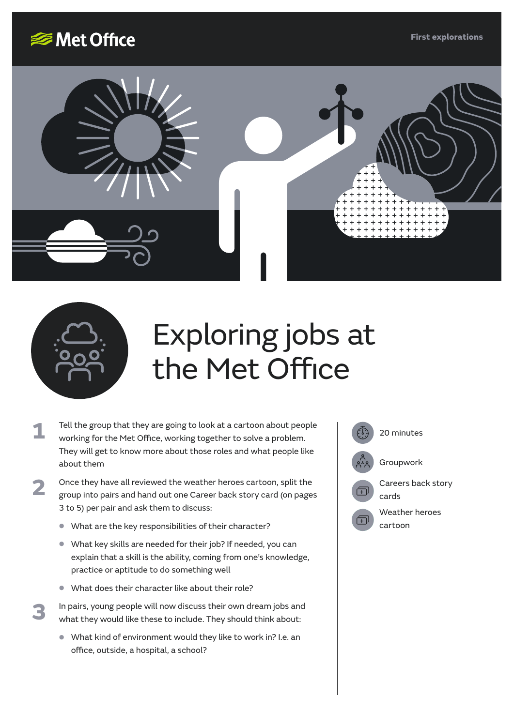**First explorations**







**3**

# Exploring jobs at the Met Office

- Tell the group that they are going to look at a cartoon about people  $\widehat{(\mathbb{I})}$  20 minutes working for the Met Office, working together to solve a problem. They will get to know more about those roles and what people like about them **1**
- Once they have all reviewed the weather heroes cartoon, split the group into pairs and hand out one Career back story card (on pages 3 to 5) per pair and ask them to discuss: **2**
	- **•** What are the key responsibilities of their character?
	- **•** What key skills are needed for their job? If needed, you can explain that a skill is the ability, coming from one's knowledge, practice or aptitude to do something well
	- **•** What does their character like about their role?

In pairs, young people will now discuss their own dream jobs and what they would like these to include. They should think about:

**•** What kind of environment would they like to work in? I.e. an office, outside, a hospital, a school?

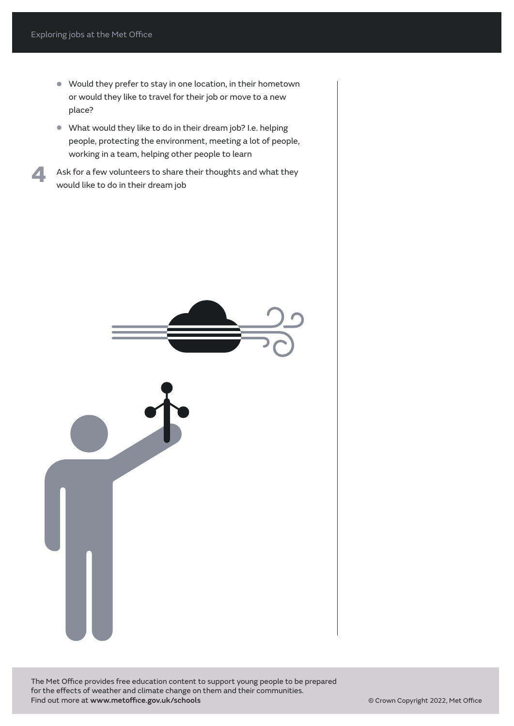**4**

- **•** Would they prefer to stay in one location, in their hometown or would they like to travel for their job or move to a new place?
- **•** What would they like to do in their dream job? I.e. helping people, protecting the environment, meeting a lot of people, working in a team, helping other people to learn
- Ask for a few volunteers to share their thoughts and what they would like to do in their dream job



The Met Office provides free education content to support young people to be prepared for the effects of weather and climate change on them and their communities. Find out more at www.metoffice.gov.uk/schools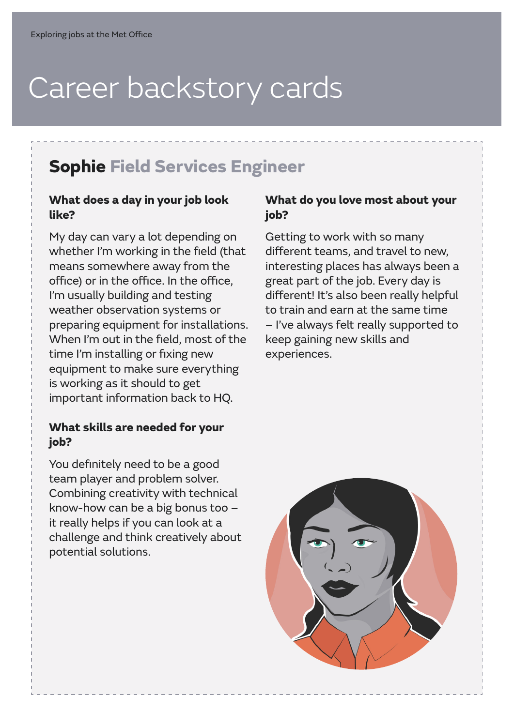## Career backstory cards

### **Sophie Field Services Engineer**

#### **What does a day in your job look like?**

My day can vary a lot depending on whether I'm working in the field (that means somewhere away from the office) or in the office. In the office, I'm usually building and testing weather observation systems or preparing equipment for installations. When I'm out in the field, most of the time I'm installing or fixing new equipment to make sure everything is working as it should to get important information back to HQ.

#### **What skills are needed for your job?**

You definitely need to be a good team player and problem solver. Combining creativity with technical know-how can be a big bonus too – it really helps if you can look at a challenge and think creatively about potential solutions.

#### **What do you love most about your job?**

Getting to work with so many different teams, and travel to new, interesting places has always been a great part of the job. Every day is different! It's also been really helpful to train and earn at the same time – I've always felt really supported to keep gaining new skills and experiences.

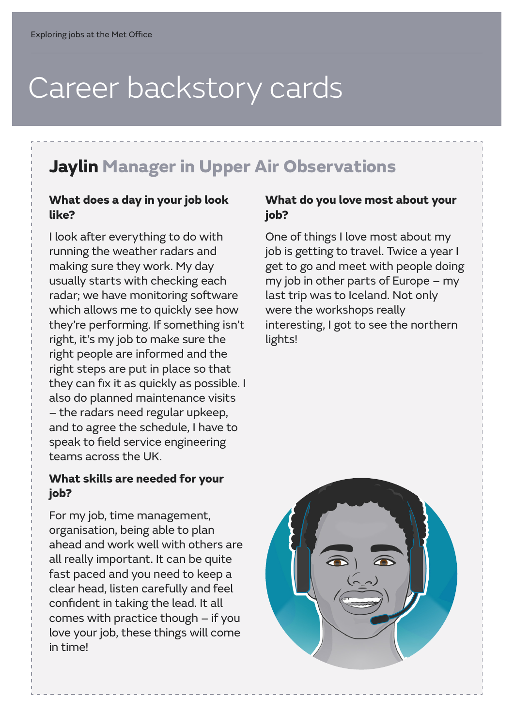## Career backstory cards

### **Jaylin Manager in Upper Air Observations**

#### **What does a day in your job look like?**

I look after everything to do with running the weather radars and making sure they work. My day usually starts with checking each radar; we have monitoring software which allows me to quickly see how they're performing. If something isn't right, it's my job to make sure the right people are informed and the right steps are put in place so that they can fix it as quickly as possible. I also do planned maintenance visits – the radars need regular upkeep, and to agree the schedule, I have to speak to field service engineering teams across the UK.

#### **What skills are needed for your job?**

For my job, time management, organisation, being able to plan ahead and work well with others are all really important. It can be quite fast paced and you need to keep a clear head, listen carefully and feel confident in taking the lead. It all comes with practice though – if you love your job, these things will come in time!

#### **What do you love most about your job?**

One of things I love most about my job is getting to travel. Twice a year I get to go and meet with people doing my job in other parts of Europe – my last trip was to Iceland. Not only were the workshops really interesting, I got to see the northern lights!